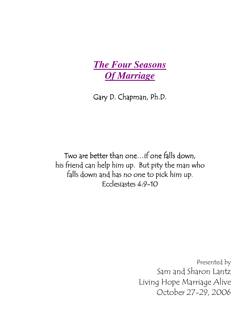

Gary D. Chapman, Ph.D.

Two are better than one... if one falls down, his friend can help him up. But pity the man who falls down and has no one to pick him up. Ecclesiastes 4:9-10

> Presented by Sam and Sharon Lantz Living Hope Marriage Alive October 27-29, 2006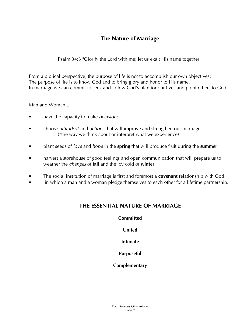# The Nature of Marriage

Psalm 34:3 "Glorify the Lord with me; let us exalt His name together."

From a biblical perspective, the purpose of life is not to accomplish our own objectives! The purpose of life is to know God and to bring glory and honor to His name. In marriage we can commit to seek and follow God's plan for our lives and point others to God.

Man and Woman...

- have the capacity to make decisions
- choose attitudes\* and actions that will improve and strengthen our marriages (\*the way we think about or interpret what we experience)
- plant seeds of *love* and *hope* in the **spring** that will produce fruit during the **summer**
- harvest a storehouse of good feelings and open communication that will prepare us to weather the *changes* of **fall** and the icy cold of winter
- The social institution of marriage is first and foremost a **covenant** relationship with God
- in which a man and a woman pledge themselves to each other for a lifetime partnership.

## THE ESSENTIAL NATURE OF MARRIAGE

#### **Committed**

United

Intimate

Purposeful

#### **Complementary**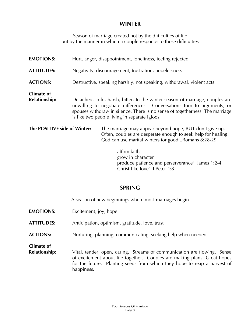## **WINTER**

Season of marriage created not by the difficulties of life but by the manner in which a couple responds to those difficulties

| <b>EMOTIONS:</b>                   | Hurt, anger, disappointment, loneliness, feeling rejected                                                                                                                                                                                                                                |                                                                                                                                                                                |
|------------------------------------|------------------------------------------------------------------------------------------------------------------------------------------------------------------------------------------------------------------------------------------------------------------------------------------|--------------------------------------------------------------------------------------------------------------------------------------------------------------------------------|
| <b>ATTITUDES:</b>                  | Negativity, discouragement, frustration, hopelessness                                                                                                                                                                                                                                    |                                                                                                                                                                                |
| <b>ACTIONS:</b>                    | Destructive, speaking harshly, not speaking, withdrawal, violent acts                                                                                                                                                                                                                    |                                                                                                                                                                                |
| Climate of<br><b>Relationship:</b> | Detached, cold, harsh, bitter. In the winter season of marriage, couples are<br>unwilling to negotiate differences. Conversations turn to arguments, or<br>spouses withdraw in silence. There is no sense of togetherness. The marriage<br>is like two people living in separate igloos. |                                                                                                                                                                                |
| The POSITIVE side of Winter:       |                                                                                                                                                                                                                                                                                          | The marriage may appear beyond hope, BUT don't give up.<br>Often, couples are desperate enough to seek help for healing.<br>God can use marital winters for goodRomans 8:28-29 |
|                                    |                                                                                                                                                                                                                                                                                          | "affirm faith"                                                                                                                                                                 |

"grow in character" "produce patience and perserverance" James 1:2-4 "Christ-like love" I Peter 4:8

## SPRING

A season of new beginnings where most marriages begin

- **EMOTIONS:** Excitement, joy, hope
- ATTITUDES: Anticipation, optimism, gratitude, love, trust
- ACTIONS: Nurturing, planning, communicating, seeking help when needed

Climate of

**Relationship:** Vital, tender, open, caring. Streams of communication are flowing. Sense of excitement about life together. Couples are making plans. Great hopes for the future. Planting seeds from which they hope to reap a harvest of happiness.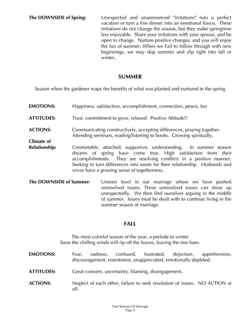#### SUMMER

Season when the gardener reaps the benefits of what was planted and nurtured in the spring

- **EMOTIONS:** Happiness, satisfaction, accomplishment, connection, peace, fun ATTITUDES: Trust, commitment to grow, relaxed. Positive Attitude!! ACTIONS: Communicating constructively, accepting differences, praying together. Attending seminars, reading/listening to books. Growing spiritually. Climate of **Relationship:** Comfortable, attached, supportive, understanding. In summer season dreams of spring have come true. High satisfaction from their accomplishments. They are resolving conflicts in a positive manner. Seeking to turn differences into assets for their relationship. Husbands and wives have a growing sense of togetherness.
- **The DOWNSIDE of Summer:** Unseen level in our marriage where we have pushed unresolved issues. These unresolved issues can show up unexpectedly. We then find ourselves arguing in the middle of summer. Issues must be dealt with to continue living in the summer season of marriage.

## FALL

The most colorful season of the year, a prelude to winter Soon the chilling winds will rip off the leaves, leaving the tree bare.

- EMOTIONS: Fear, sadness, confused, frustrated, dejection, apprehension, discouragement, resentment, unappreciated, emotionally depleted.
- ATTITUDES: Great concern, uncertainty, blaming, disengagement.
- ACTIONS: Neglect of each other, failure to seek resolution of issues. NO ACTION at all.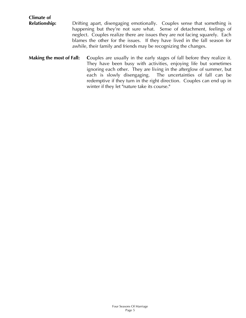| <b>Climate of</b>        |                                                                                                                                                                                                                                                                                                                                                                                     |
|--------------------------|-------------------------------------------------------------------------------------------------------------------------------------------------------------------------------------------------------------------------------------------------------------------------------------------------------------------------------------------------------------------------------------|
| <b>Relationship:</b>     | Drifting apart, disengaging emotionally. Couples sense that something is<br>happening but they're not sure what. Sense of detachment, feelings of<br>neglect. Couples realize there are issues they are not facing squarely. Each<br>blames the other for the issues. If they have lived in the fall season for<br>awhile, their family and friends may be recognizing the changes. |
| Making the most of Fall: | Couples are usually in the early stages of fall before they realize it.<br>Thou have been busy with activities opining life but comptimes                                                                                                                                                                                                                                           |

They have been busy with activities, enjoying life but sometimes ignoring each other. They are living in the afterglow of summer, but each is slowly disengaging. The uncertainties of fall can be redemptive if they turn in the right direction. Couples can end up in winter if they let "nature take its course."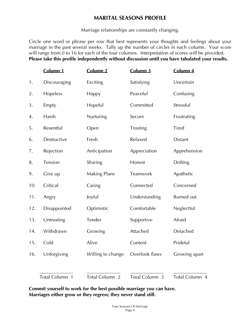# MARITAL SEASONS PROFILE

Marriage relationships are constantly changing.

Circle one word or phrase per row that best represents your thoughts and feelings about your marriage in the past several weeks. Tally up the number of circles in each column. Your score will range from 0 to 16 for each of the four columns. Interpretation of scores will be provided. Please take this profile independently without discussion until you have tabulated your results.

|     | Column 1       | Column 2            | Column 3       | Column 4          |
|-----|----------------|---------------------|----------------|-------------------|
| 1.  | Discouraging   | Exciting            | Satisfying     | Uncertain         |
| 2.  | Hopeless       | Happy               | Peaceful       | Confusing         |
| 3.  | Empty          | Hopeful             | Committed      | Stressful         |
| 4.  | Harsh          | Nurturing           | Secure         | Frustrating       |
| 5.  | Resentful      | Open                | Trusting       | Tired             |
| 6.  | Destructive    | Fresh               | Relaxed        | <b>Distant</b>    |
| 7.  | Rejection      | Anticipation        | Appreciation   | Apprehension      |
| 8.  | Tension        | Sharing             | Honest         | <b>Drifting</b>   |
| 9.  | Give up        | <b>Making Plans</b> | Teamwork       | Apathetic         |
| 10. | Critical       | Caring              | Connected      | Concerned         |
| 11. | Angry          | Joyful              | Understanding  | <b>Burned</b> out |
| 12. | Disappointed   | Optimistic          | Comfortable    | Neglectful        |
| 13. | Untrusting     | Tender              | Supportive     | Afraid            |
| 14. | Withdrawn      | Growing             | Attached       | Detached          |
| 15. | Cold           | Alive               | Content        | Prideful          |
| 16. | Unforgiving    | Willing to change   | Overlook flaws | Growing apart     |
|     | Total Column 1 | Total Column 2      | Total Column 3 | Total Column 4    |

Commit yourself to work for the best possible marriage you can have. Marriages either grow or they regress; they never stand still.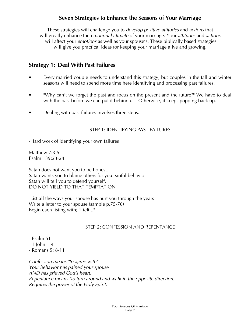## Seven Strategies to Enhance the Seasons of Your Marriage

These strategies will challenge you to develop positive attitudes and actions that will greatly enhance the *emotional climate* of your marriage. Your *attitudes* and *actions* will affect your *emotions* as well as your spouse's. These biblically based strategies will give you practical ideas for keeping your marriage alive and growing.

## Strategy 1: Deal With Past Failures

- Every married couple needs to understand this strategy, but couples in the fall and winter seasons will need to spend more time here identifying and processing past failures.
- "Why can't we forget the past and focus on the present and the future?" We have to deal with the past before we can put it behind us. Otherwise, it keeps popping back up.
- Dealing with past failures involves three steps.

#### STEP 1: IDENTIFYING PAST FAILURES

-Hard work of identifying your own failures

Matthew 7:3-5 Psalm 139:23-24

Satan does not want you to be honest. Satan wants you to blame others for your sinful behavior Satan will tell you to defend yourself. DO NOT YIELD TO THAT TEMPTATION

-List all the ways your spouse has hurt you through the years Write a letter to your spouse (sample p.75-76) Begin each listing with; "I felt..."

#### STEP 2: CONFESSION AND REPENTANCE

- Psalm 51
- 1 John 1:9
- Romans 5: 8-11

Confession means "to agree with" Your behavior has pained your spouse AND has grieved God's heart. Repentance means "to turn around and walk in the opposite direction. Requires the power of the Holy Spirit.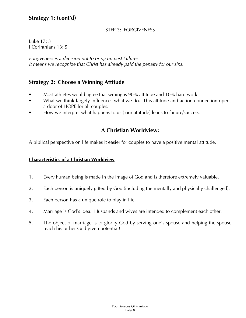# Strategy 1: (cont'd)

#### STEP 3: FORGIVENESS

Luke 17: 3 I Corinthians 13: 5

Forgiveness is a decision not to bring up past failures. It means we recognize that Christ has already paid the penalty for our sins.

## Strategy 2: Choose a Winning Attitude

- Most athletes would agree that wining is 90% attitude and 10% hard work.
- What we think largely influences what we do. This attitude and action connection opens a door of HOPE for all couples.
- How we interpret what happens to us ( our attitude) leads to failure/success.

## A Christian Worldview:

A biblical perspective on life makes it easier for couples to have a positive mental attitude.

#### Characteristics of a Christian Worldview

- 1. Every human being is made in the image of God and is therefore extremely valuable.
- 2. Each person is uniquely gifted by God (including the mentally and physically challenged).
- 3. Each person has a unique role to play in life.
- 4. Marriage is God's idea. Husbands and wives are intended to complement each other.
- 5. The object of marriage is to glorify God by serving one's spouse and helping the spouse reach his or her God-given potential!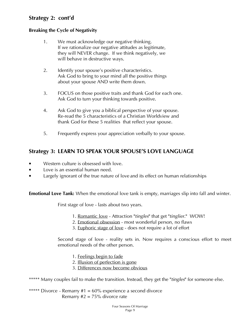# Strategy 2: cont'd

#### Breaking the Cycle of Negativity

- 1. We must acknowledge our negative thinking. If we rationalize our negative attitudes as legitimate, they will NEVER change. If we think negatively, we will behave in destructive ways.
- 2. Identify your spouse's positive characteristics. Ask God to bring to your mind all the positive things about your spouse AND write them down.
- 3. FOCUS on those positive traits and thank God for each one. Ask God to turn your thinking towards positive.
- 4. Ask God to give you a biblical perspective of your spouse. Re-read the 5 characteristics of a Christian Worldview and thank God for these 5 realities that reflect your spouse.
- 5. Frequently express your appreciation verbally to your spouse.

## Strategy 3: LEARN TO SPEAK YOUR SPOUSE'S LOVE LANGUAGE

- Western culture is obsessed with love.
- Love is an essential human need.
- Largely ignorant of the true nature of love and its effect on human relationships

**Emotional Love Tank:** When the emotional love tank is empty, marriages slip into fall and winter.

First stage of love - lasts about two years.

- 1. Romantic love Attraction "tingles" that get "tinglier." WOW!
- 2. Emotional obsession most wonderful person, no flaws
- 3. Euphoric stage of love does not require a lot of effort

Second stage of love - reality sets in. Now requires a conscious effort to meet emotional needs of the other person.

- 1. Feelings begin to fade
- 2. Illusion of perfection is gone
- 3. Differences now become obvious

\*\*\*\*\* Many couples fail to make the transition. Instead, they get the "tingles" for someone else.

\*\*\*\*\* Divorce - Remarry #1 = 60% experience a second divorce Remarry  $#2 = 75\%$  divorce rate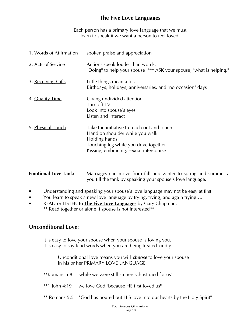# The Five Love Languages

Each person has a primary love language that we must learn to speak if we want a person to feel loved.

| 1. Words of Affirmation | spoken praise and appreciation                                                                                                                                                     |
|-------------------------|------------------------------------------------------------------------------------------------------------------------------------------------------------------------------------|
| 2. Acts of Service      | Actions speak louder than words.<br>"Doing" to help your spouse *** ASK your spouse, "what is helping."                                                                            |
| 3. Receiving Gifts      | Little things mean a lot.<br>Birthdays, holidays, anniversaries, and "no occasion" days                                                                                            |
| 4. Quality Time         | Giving undivided attention<br>Turn off TV<br>Look into spouse's eyes<br>Listen and interact                                                                                        |
| 5. Physical Touch       | Take the initiative to reach out and touch.<br>Hand on shoulder while you walk<br>Holding hands<br>Touching leg while you drive together<br>Kissing, embracing, sexual intercourse |

| <b>Emotional Love Tank:</b> | Marriages can move from fall and winter to spring and summer as |
|-----------------------------|-----------------------------------------------------------------|
|                             | you fill the tank by speaking your spouse's love language.      |

- Understanding and speaking your spouse's love language may not be easy at first.
- You learn to speak a new love language by trying, trying, and again trying....
- READ or LISTEN to **The Five Love Languages** by Gary Chapman. \*\* Read together or alone if spouse is not interested\*\*

## Unconditional Love:

 It is easy to love your spouse when your spouse is loving you. It is easy to say kind words when you are being treated kindly.

> Unconditional love means you will **choose** to love your spouse in his or her PRIMARY LOVE LANGUAGE.

|  |  | **Romans 5:8 "while we were still sinners Christ died for us" |
|--|--|---------------------------------------------------------------|
|--|--|---------------------------------------------------------------|

- \*\*1 John 4:19 we love God "because HE first loved us"
- \*\* Romans 5:5 "God has poured out HIS love into our hearts by the Holy Spirit"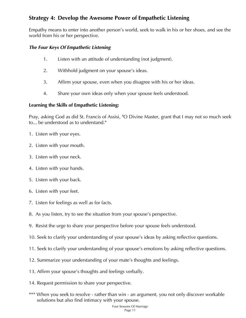# Strategy 4: Develop the Awesome Power of Empathetic Listening

Empathy means to enter into another person's world, seek to walk in his or her shoes, and see the world from his or her perspective.

#### The Four Keys Of Empathetic Listening

- 1. Listen with an attitude of understanding (not judgment).
- 2. Withhold judgment on your spouse's ideas.
- 3. Affirm your spouse, even when you disagree with his or her ideas.
- 4. Share your own ideas only when your spouse feels understood.

#### Learning the Skills of Empathetic Listening:

Pray, asking God as did St. Francis of Assisi, "O Divine Master, grant that I may not so much seek to... be understood as to understand."

- 1. Listen with your eyes.
- 2. Listen with your mouth.
- 3. Listen with your neck.
- 4. Listen with your hands.
- 5. Listen with your back.
- 6. Listen with your feet.
- 7. Listen for feelings as well as for facts.
- 8. As you listen, try to see the situation from your spouse's perspective.
- 9. Resist the urge to share your perspective before your spouse feels understood.
- 10. Seek to clarify your understanding of your spouse's ideas by asking reflective questions.
- 11. Seek to clarify your understanding of your spouse's emotions by asking reflective questions.
- 12. Summarize your understanding of your mate's thoughts and feelings.
- 13. Affirm your spouse's thoughts and feelings verbally.
- 14. Request permission to share your perspective.
- \*\*\* When you seek to resolve rather than win an argument, you not only discover workable solutions but also find intimacy with your spouse.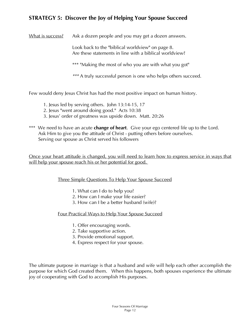# STRATEGY 5: Discover the Joy of Helping Your Spouse Succeed

What is success? Ask a dozen people and you may get a dozen answers.

 Look back to the "biblical worldview" on page 8. Are these statements in line with a biblical worldview?

\*\*\* "Making the most of who you are with what you got"

\*\*\* A truly successful person is one who helps others succeed.

Few would deny Jesus Christ has had the most positive impact on human history.

- 1. Jesus led by serving others. John 13:14-15, 17
- 2. Jesus "went around doing good." Acts 10:38
- 3. Jesus' order of greatness was upside down. Matt. 20:26
- \*\*\* We need to have an acute **change of heart**. Give your ego centered life up to the Lord. Ask Him to give you the attitude of Christ - putting others before ourselves. Serving our spouse as Christ served his followers

Once your heart attitude is changed, you will need to learn how to express service in ways that will help your spouse reach his or her potential for good.

#### Three Simple Questions To Help Your Spouse Succeed

- 1. What can I do to help you?
- 2. How can I make your life easier?
- 3. How can I be a better husband (wife)?

Four Practical Ways to Help Your Spouse Succeed

- 1. Offer encouraging words.
- 2. Take supportive action.
- 3. Provide emotional support.
- 4. Express respect for your spouse.

The ultimate purpose in marriage is that a husband and wife will help each other accomplish the purpose for which God created them. When this happens, both spouses experience the ultimate joy of cooperating with God to accomplish His purposes.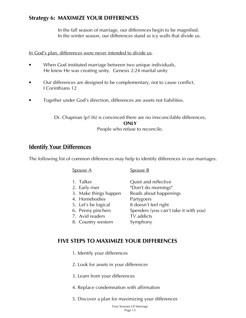# Strategy 6: MAXIMIZE YOUR DIFFERENCES

In the fall season of marriage, our differences begin to be magnified. In the winter season, our differences stand as icy walls that divide us.

#### In God's plan, differences were never intended to divide us.

- When God instituted marriage between two unique individuals, He knew He was creating unity. Genesis 2:24 marital unity
- Our differences are designed to be complementary, not to cause conflict. I Corinthians 12
- Together under God's direction, differences are assets not liabilities.

Dr. Chapman (p136) is convinced there are no irreconcilable differences, **ONLY** People who refuse to reconcile.

## Identify Your Differences

The following list of common differences may help to identify differences in our marriages.

| Spouse A                                                                                                                                                   | Spouse B                                                                                                                                                                        |
|------------------------------------------------------------------------------------------------------------------------------------------------------------|---------------------------------------------------------------------------------------------------------------------------------------------------------------------------------|
| 1. Talker<br>2. Early riser<br>3. Make things happen<br>4. Homebodies<br>5. Let's be logical<br>6. Penny pinchers<br>7. Avid readers<br>8. Country western | Quiet and reflective<br>"Don't do mornings"<br>Reads about happenings<br>Partygoers<br>It doesn't feel right<br>Spenders (you can't take it with you)<br>TV addicts<br>Symphony |
|                                                                                                                                                            |                                                                                                                                                                                 |

## FIVE STEPS TO MAXIMIZE YOUR DIFFERENCES

- 1. Identify your differences
- 2. Look for assets in your differences
- 3. Learn from your differences
- 4. Replace condemnation with affirmation
- 5. Discover a plan for maximizing your differences